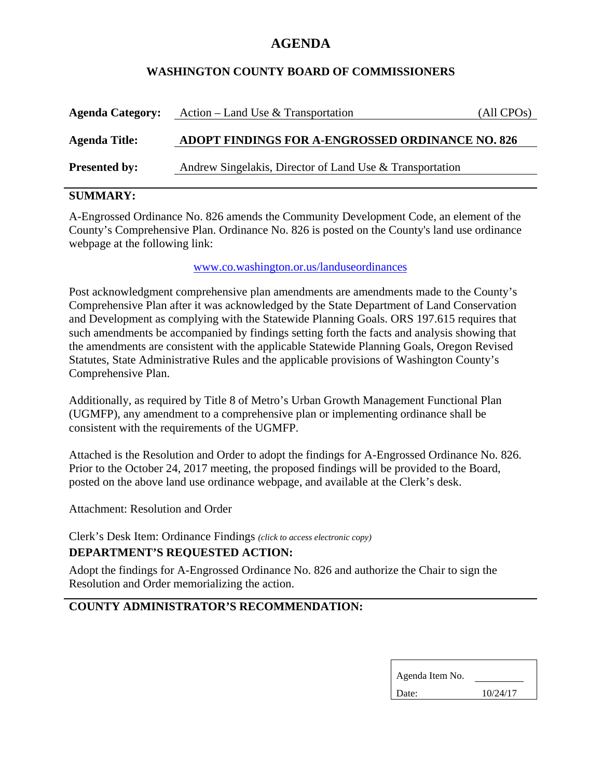# **AGENDA**

## **WASHINGTON COUNTY BOARD OF COMMISSIONERS**

| <b>Agenda Category:</b> | Action – Land Use & Transportation                       | (All CPOs) |
|-------------------------|----------------------------------------------------------|------------|
| <b>Agenda Title:</b>    | ADOPT FINDINGS FOR A-ENGROSSED ORDINANCE NO. 826         |            |
| <b>Presented by:</b>    | Andrew Singelakis, Director of Land Use & Transportation |            |

## **SUMMARY:**

A-Engrossed Ordinance No. 826 amends the Community Development Code, an element of the County's Comprehensive Plan. Ordinance No. 826 is posted on the County's land use ordinance webpage at the following link:

### www.co.washington.or.us/landuseordinances

Post acknowledgment comprehensive plan amendments are amendments made to the County's Comprehensive Plan after it was acknowledged by the State Department of Land Conservation and Development as complying with the Statewide Planning Goals. ORS 197.615 requires that such amendments be accompanied by findings setting forth the facts and analysis showing that the amendments are consistent with the applicable Statewide Planning Goals, Oregon Revised Statutes, State Administrative Rules and the applicable provisions of Washington County's Comprehensive Plan.

Additionally, as required by Title 8 of Metro's Urban Growth Management Functional Plan (UGMFP), any amendment to a comprehensive plan or implementing ordinance shall be consistent with the requirements of the UGMFP.

Attached is the Resolution and Order to adopt the findings for A-Engrossed Ordinance No. 826. Prior to the October 24, 2017 meeting, the proposed findings will be provided to the Board, posted on the above land use ordinance webpage, and available at the Clerk's desk.

Attachment: Resolution and Order

Clerk's Desk Item: Ordinance Findings *(click to access electronic copy)* **DEPARTMENT'S REQUESTED ACTION:**

Adopt the findings for A-Engrossed Ordinance No. 826 and authorize the Chair to sign the Resolution and Order memorializing the action.

# **COUNTY ADMINISTRATOR'S RECOMMENDATION:**

| Agenda Item No. |          |  |
|-----------------|----------|--|
| Date:           | 10/24/17 |  |